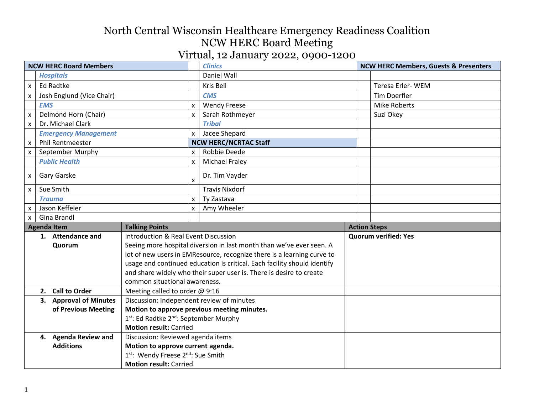|                               |                                                                     |                                                                |                           | $\mathbf{v}$ if that, is called $\mathbf{v}$ such that $\mathbf{v}$      |  |                                                  |
|-------------------------------|---------------------------------------------------------------------|----------------------------------------------------------------|---------------------------|--------------------------------------------------------------------------|--|--------------------------------------------------|
| <b>NCW HERC Board Members</b> |                                                                     |                                                                |                           | <b>Clinics</b>                                                           |  | <b>NCW HERC Members, Guests &amp; Presenters</b> |
|                               | <b>Hospitals</b>                                                    |                                                                |                           | Daniel Wall                                                              |  |                                                  |
| $\mathsf{x}$                  | <b>Ed Radtke</b>                                                    |                                                                |                           | Kris Bell                                                                |  | Teresa Erler-WEM                                 |
| $\mathsf{x}$                  | Josh Englund (Vice Chair)                                           |                                                                |                           | <b>CMS</b>                                                               |  | <b>Tim Doerfler</b>                              |
|                               | <b>EMS</b>                                                          |                                                                | $\boldsymbol{\mathsf{x}}$ | <b>Wendy Freese</b>                                                      |  | <b>Mike Roberts</b>                              |
| $\pmb{\times}$                | Delmond Horn (Chair)                                                |                                                                | X                         | Sarah Rothmeyer                                                          |  | Suzi Okey                                        |
| $\boldsymbol{\mathsf{x}}$     | Dr. Michael Clark                                                   |                                                                |                           | <b>Tribal</b>                                                            |  |                                                  |
|                               | <b>Emergency Management</b>                                         |                                                                | $\boldsymbol{\mathsf{x}}$ | Jacee Shepard                                                            |  |                                                  |
| $\mathsf{x}$                  | <b>Phil Rentmeester</b>                                             |                                                                |                           | <b>NCW HERC/NCRTAC Staff</b>                                             |  |                                                  |
| $\mathsf{x}$                  | September Murphy                                                    |                                                                | X                         | Robbie Deede                                                             |  |                                                  |
|                               | <b>Public Health</b>                                                |                                                                | $\boldsymbol{\mathsf{x}}$ | <b>Michael Fraley</b>                                                    |  |                                                  |
| $\boldsymbol{\mathsf{x}}$     | Gary Garske                                                         |                                                                | $\boldsymbol{\mathsf{x}}$ | Dr. Tim Vayder                                                           |  |                                                  |
| $\boldsymbol{\mathsf{X}}$     | Sue Smith                                                           | <b>Travis Nixdorf</b>                                          |                           |                                                                          |  |                                                  |
|                               | <b>Trauma</b>                                                       |                                                                | $\pmb{\times}$            | Ty Zastava                                                               |  |                                                  |
| $\mathsf{x}$                  | Jason Keffeler                                                      |                                                                | X                         | Amy Wheeler                                                              |  |                                                  |
| Gina Brandl<br>$\mathsf{x}$   |                                                                     |                                                                |                           |                                                                          |  |                                                  |
|                               | <b>Agenda Item</b>                                                  | <b>Talking Points</b>                                          |                           |                                                                          |  | <b>Action Steps</b>                              |
|                               | 1. Attendance and                                                   | Introduction & Real Event Discussion                           |                           |                                                                          |  | <b>Quorum verified: Yes</b>                      |
|                               | Quorum                                                              |                                                                |                           | Seeing more hospital diversion in last month than we've ever seen. A     |  |                                                  |
|                               |                                                                     |                                                                |                           | lot of new users in EMResource, recognize there is a learning curve to   |  |                                                  |
|                               |                                                                     |                                                                |                           | usage and continued education is critical. Each facility should identify |  |                                                  |
|                               |                                                                     |                                                                |                           | and share widely who their super user is. There is desire to create      |  |                                                  |
|                               |                                                                     | common situational awareness.                                  |                           |                                                                          |  |                                                  |
|                               | 2. Call to Order<br>Meeting called to order @ 9:16                  |                                                                |                           |                                                                          |  |                                                  |
|                               | Discussion: Independent review of minutes<br>3. Approval of Minutes |                                                                |                           |                                                                          |  |                                                  |
|                               | of Previous Meeting                                                 |                                                                |                           | Motion to approve previous meeting minutes.                              |  |                                                  |
|                               |                                                                     | 1 <sup>st</sup> : Ed Radtke 2 <sup>nd</sup> : September Murphy |                           |                                                                          |  |                                                  |
|                               |                                                                     | <b>Motion result: Carried</b>                                  |                           |                                                                          |  |                                                  |
|                               | 4. Agenda Review and                                                | Discussion: Reviewed agenda items                              |                           |                                                                          |  |                                                  |
|                               | <b>Additions</b>                                                    | Motion to approve current agenda.                              |                           |                                                                          |  |                                                  |
|                               | 1st: Wendy Freese 2nd: Sue Smith                                    |                                                                |                           |                                                                          |  |                                                  |
| <b>Motion result: Carried</b> |                                                                     |                                                                |                           |                                                                          |  |                                                  |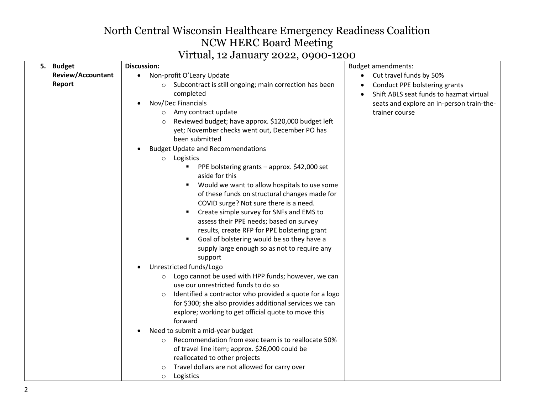### Virtual, 12 January 2022, 0900-1200

| <b>Review/Accountant</b><br>Cut travel funds by 50%<br>Non-profit O'Leary Update<br>Report<br>Subcontract is still ongoing; main correction has been<br>Conduct PPE bolstering grants<br>$\circ$<br>completed<br>Shift ABLS seat funds to hazmat virtual<br>$\bullet$<br>Nov/Dec Financials<br>seats and explore an in-person train-the-<br>$\bullet$<br>Amy contract update<br>trainer course<br>$\circ$<br>Reviewed budget; have approx. \$120,000 budget left<br>$\circ$<br>yet; November checks went out, December PO has<br>been submitted<br><b>Budget Update and Recommendations</b><br>Logistics<br>$\circ$<br>■ PPE bolstering grants – approx. \$42,000 set<br>aside for this<br>Would we want to allow hospitals to use some<br>٠<br>of these funds on structural changes made for<br>COVID surge? Not sure there is a need.<br>Create simple survey for SNFs and EMS to<br>$\blacksquare$<br>assess their PPE needs; based on survey<br>results, create RFP for PPE bolstering grant<br>Goal of bolstering would be so they have a<br>supply large enough so as not to require any<br>support<br>Unrestricted funds/Logo<br>$\bullet$<br>Logo cannot be used with HPP funds; however, we can<br>$\circ$<br>use our unrestricted funds to do so<br>Identified a contractor who provided a quote for a logo<br>$\circ$<br>for \$300; she also provides additional services we can<br>explore; working to get official quote to move this<br>forward<br>Need to submit a mid-year budget<br>Recommendation from exec team is to reallocate 50%<br>$\bigcirc$<br>of travel line item; approx. \$26,000 could be<br>reallocated to other projects<br>Travel dollars are not allowed for carry over<br>$\circ$ |           | $\mathbf{r}$ in cause, is obtained $\mathbf{r}$<br>$-0$ $-$ , $0$ $700$ $-$ |                           |
|----------------------------------------------------------------------------------------------------------------------------------------------------------------------------------------------------------------------------------------------------------------------------------------------------------------------------------------------------------------------------------------------------------------------------------------------------------------------------------------------------------------------------------------------------------------------------------------------------------------------------------------------------------------------------------------------------------------------------------------------------------------------------------------------------------------------------------------------------------------------------------------------------------------------------------------------------------------------------------------------------------------------------------------------------------------------------------------------------------------------------------------------------------------------------------------------------------------------------------------------------------------------------------------------------------------------------------------------------------------------------------------------------------------------------------------------------------------------------------------------------------------------------------------------------------------------------------------------------------------------------------------------------------------------------------------------------------------------|-----------|-----------------------------------------------------------------------------|---------------------------|
|                                                                                                                                                                                                                                                                                                                                                                                                                                                                                                                                                                                                                                                                                                                                                                                                                                                                                                                                                                                                                                                                                                                                                                                                                                                                                                                                                                                                                                                                                                                                                                                                                                                                                                                      |           |                                                                             |                           |
|                                                                                                                                                                                                                                                                                                                                                                                                                                                                                                                                                                                                                                                                                                                                                                                                                                                                                                                                                                                                                                                                                                                                                                                                                                                                                                                                                                                                                                                                                                                                                                                                                                                                                                                      |           |                                                                             |                           |
|                                                                                                                                                                                                                                                                                                                                                                                                                                                                                                                                                                                                                                                                                                                                                                                                                                                                                                                                                                                                                                                                                                                                                                                                                                                                                                                                                                                                                                                                                                                                                                                                                                                                                                                      | 5. Budget | <b>Discussion:</b>                                                          | <b>Budget amendments:</b> |
|                                                                                                                                                                                                                                                                                                                                                                                                                                                                                                                                                                                                                                                                                                                                                                                                                                                                                                                                                                                                                                                                                                                                                                                                                                                                                                                                                                                                                                                                                                                                                                                                                                                                                                                      |           |                                                                             |                           |
|                                                                                                                                                                                                                                                                                                                                                                                                                                                                                                                                                                                                                                                                                                                                                                                                                                                                                                                                                                                                                                                                                                                                                                                                                                                                                                                                                                                                                                                                                                                                                                                                                                                                                                                      |           |                                                                             |                           |
|                                                                                                                                                                                                                                                                                                                                                                                                                                                                                                                                                                                                                                                                                                                                                                                                                                                                                                                                                                                                                                                                                                                                                                                                                                                                                                                                                                                                                                                                                                                                                                                                                                                                                                                      |           |                                                                             |                           |
|                                                                                                                                                                                                                                                                                                                                                                                                                                                                                                                                                                                                                                                                                                                                                                                                                                                                                                                                                                                                                                                                                                                                                                                                                                                                                                                                                                                                                                                                                                                                                                                                                                                                                                                      |           |                                                                             |                           |
|                                                                                                                                                                                                                                                                                                                                                                                                                                                                                                                                                                                                                                                                                                                                                                                                                                                                                                                                                                                                                                                                                                                                                                                                                                                                                                                                                                                                                                                                                                                                                                                                                                                                                                                      |           |                                                                             |                           |
|                                                                                                                                                                                                                                                                                                                                                                                                                                                                                                                                                                                                                                                                                                                                                                                                                                                                                                                                                                                                                                                                                                                                                                                                                                                                                                                                                                                                                                                                                                                                                                                                                                                                                                                      |           |                                                                             |                           |
|                                                                                                                                                                                                                                                                                                                                                                                                                                                                                                                                                                                                                                                                                                                                                                                                                                                                                                                                                                                                                                                                                                                                                                                                                                                                                                                                                                                                                                                                                                                                                                                                                                                                                                                      |           |                                                                             |                           |
|                                                                                                                                                                                                                                                                                                                                                                                                                                                                                                                                                                                                                                                                                                                                                                                                                                                                                                                                                                                                                                                                                                                                                                                                                                                                                                                                                                                                                                                                                                                                                                                                                                                                                                                      |           |                                                                             |                           |
|                                                                                                                                                                                                                                                                                                                                                                                                                                                                                                                                                                                                                                                                                                                                                                                                                                                                                                                                                                                                                                                                                                                                                                                                                                                                                                                                                                                                                                                                                                                                                                                                                                                                                                                      |           |                                                                             |                           |
|                                                                                                                                                                                                                                                                                                                                                                                                                                                                                                                                                                                                                                                                                                                                                                                                                                                                                                                                                                                                                                                                                                                                                                                                                                                                                                                                                                                                                                                                                                                                                                                                                                                                                                                      |           | Logistics<br>$\circ$                                                        |                           |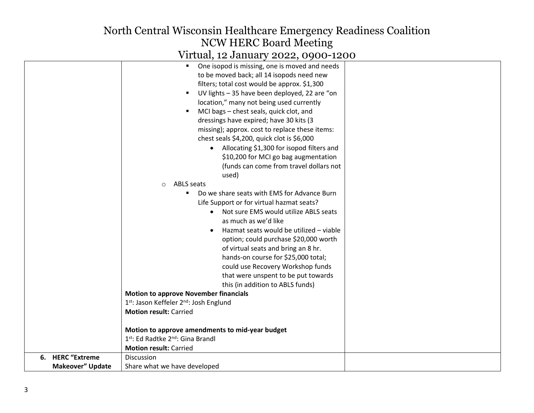### Virtual, 12 January 2022, 0900-1200

|                         | One isopod is missing, one is moved and needs<br>$\blacksquare$ |  |
|-------------------------|-----------------------------------------------------------------|--|
|                         | to be moved back; all 14 isopods need new                       |  |
|                         | filters; total cost would be approx. \$1,300                    |  |
|                         | UV lights - 35 have been deployed, 22 are "on<br>$\blacksquare$ |  |
|                         | location," many not being used currently                        |  |
|                         | MCI bags - chest seals, quick clot, and<br>$\blacksquare$       |  |
|                         | dressings have expired; have 30 kits (3                         |  |
|                         | missing); approx. cost to replace these items:                  |  |
|                         | chest seals \$4,200, quick clot is \$6,000                      |  |
|                         | • Allocating \$1,300 for isopod filters and                     |  |
|                         | \$10,200 for MCI go bag augmentation                            |  |
|                         | (funds can come from travel dollars not                         |  |
|                         | used)                                                           |  |
|                         | <b>ABLS</b> seats<br>$\circ$                                    |  |
|                         | Do we share seats with EMS for Advance Burn                     |  |
|                         | Life Support or for virtual hazmat seats?                       |  |
|                         | Not sure EMS would utilize ABLS seats<br>$\bullet$              |  |
|                         | as much as we'd like                                            |  |
|                         | Hazmat seats would be utilized - viable                         |  |
|                         | option; could purchase \$20,000 worth                           |  |
|                         | of virtual seats and bring an 8 hr.                             |  |
|                         | hands-on course for \$25,000 total;                             |  |
|                         | could use Recovery Workshop funds                               |  |
|                         | that were unspent to be put towards                             |  |
|                         | this (in addition to ABLS funds)                                |  |
|                         | <b>Motion to approve November financials</b>                    |  |
|                         | 1 <sup>st</sup> : Jason Keffeler 2 <sup>nd</sup> : Josh Englund |  |
|                         | <b>Motion result: Carried</b>                                   |  |
|                         |                                                                 |  |
|                         | Motion to approve amendments to mid-year budget                 |  |
|                         | 1 <sup>st</sup> : Ed Radtke 2 <sup>nd</sup> : Gina Brandl       |  |
|                         | <b>Motion result: Carried</b>                                   |  |
| 6. HERC "Extreme        | Discussion                                                      |  |
| <b>Makeover" Update</b> | Share what we have developed                                    |  |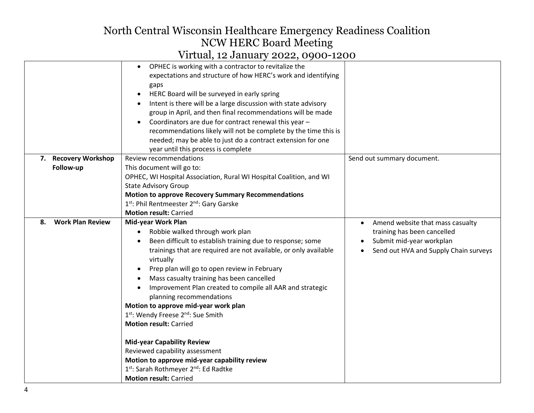|    |                         | $1.0041$ , $2.0011$ , $1.001$ , $1.001$ , $1.001$                                                                                                                                                                                                                                                                                                                                                                                                                                                                                                                                |                                                                                                                                      |
|----|-------------------------|----------------------------------------------------------------------------------------------------------------------------------------------------------------------------------------------------------------------------------------------------------------------------------------------------------------------------------------------------------------------------------------------------------------------------------------------------------------------------------------------------------------------------------------------------------------------------------|--------------------------------------------------------------------------------------------------------------------------------------|
|    | 7. Recovery Workshop    | OPHEC is working with a contractor to revitalize the<br>expectations and structure of how HERC's work and identifying<br>gaps<br>HERC Board will be surveyed in early spring<br>Intent is there will be a large discussion with state advisory<br>group in April, and then final recommendations will be made<br>Coordinators are due for contract renewal this year -<br>recommendations likely will not be complete by the time this is<br>needed; may be able to just do a contract extension for one<br>year until this process is complete<br><b>Review recommendations</b> | Send out summary document.                                                                                                           |
|    |                         |                                                                                                                                                                                                                                                                                                                                                                                                                                                                                                                                                                                  |                                                                                                                                      |
|    | Follow-up               | This document will go to:                                                                                                                                                                                                                                                                                                                                                                                                                                                                                                                                                        |                                                                                                                                      |
|    |                         | OPHEC, WI Hospital Association, Rural WI Hospital Coalition, and WI                                                                                                                                                                                                                                                                                                                                                                                                                                                                                                              |                                                                                                                                      |
|    |                         | <b>State Advisory Group</b>                                                                                                                                                                                                                                                                                                                                                                                                                                                                                                                                                      |                                                                                                                                      |
|    |                         | <b>Motion to approve Recovery Summary Recommendations</b>                                                                                                                                                                                                                                                                                                                                                                                                                                                                                                                        |                                                                                                                                      |
|    |                         | 1 <sup>st</sup> : Phil Rentmeester 2 <sup>nd</sup> : Gary Garske                                                                                                                                                                                                                                                                                                                                                                                                                                                                                                                 |                                                                                                                                      |
|    |                         | <b>Motion result: Carried</b>                                                                                                                                                                                                                                                                                                                                                                                                                                                                                                                                                    |                                                                                                                                      |
| 8. | <b>Work Plan Review</b> | Mid-year Work Plan<br>Robbie walked through work plan<br>$\bullet$<br>Been difficult to establish training due to response; some<br>trainings that are required are not available, or only available<br>virtually<br>Prep plan will go to open review in February<br>Mass casualty training has been cancelled<br>Improvement Plan created to compile all AAR and strategic<br>planning recommendations<br>Motion to approve mid-year work plan<br>1st: Wendy Freese 2nd: Sue Smith<br><b>Motion result: Carried</b>                                                             | Amend website that mass casualty<br>training has been cancelled<br>Submit mid-year workplan<br>Send out HVA and Supply Chain surveys |
|    |                         | <b>Mid-year Capability Review</b><br>Reviewed capability assessment<br>Motion to approve mid-year capability review<br>1st: Sarah Rothmeyer 2nd: Ed Radtke<br><b>Motion result: Carried</b>                                                                                                                                                                                                                                                                                                                                                                                      |                                                                                                                                      |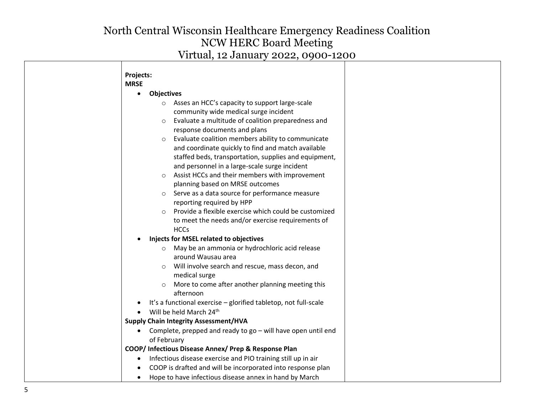| Projects:   |                                                                                    |
|-------------|------------------------------------------------------------------------------------|
| <b>MRSE</b> |                                                                                    |
| $\bullet$   | <b>Objectives</b>                                                                  |
|             | o Asses an HCC's capacity to support large-scale                                   |
|             | community wide medical surge incident                                              |
| $\circ$     | Evaluate a multitude of coalition preparedness and<br>response documents and plans |
|             | Evaluate coalition members ability to communicate                                  |
| $\circ$     | and coordinate quickly to find and match available                                 |
|             | staffed beds, transportation, supplies and equipment,                              |
|             | and personnel in a large-scale surge incident                                      |
| $\circ$     | Assist HCCs and their members with improvement                                     |
|             | planning based on MRSE outcomes                                                    |
|             | Serve as a data source for performance measure                                     |
|             | reporting required by HPP                                                          |
|             | Provide a flexible exercise which could be customized                              |
|             | to meet the needs and/or exercise requirements of                                  |
|             | <b>HCCs</b>                                                                        |
|             | Injects for MSEL related to objectives                                             |
|             | May be an ammonia or hydrochloric acid release                                     |
|             | around Wausau area                                                                 |
|             | Will involve search and rescue, mass decon, and                                    |
|             | medical surge                                                                      |
|             | More to come after another planning meeting this<br>afternoon                      |
|             | It's a functional exercise - glorified tabletop, not full-scale                    |
|             | Will be held March 24th                                                            |
|             | <b>Supply Chain Integrity Assessment/HVA</b>                                       |
|             | Complete, prepped and ready to go - will have open until end                       |
|             | of February                                                                        |
|             | COOP/ Infectious Disease Annex/ Prep & Response Plan                               |
| $\bullet$   | Infectious disease exercise and PIO training still up in air                       |
|             | COOP is drafted and will be incorporated into response plan                        |
| $\bullet$   | Hope to have infectious disease annex in hand by March                             |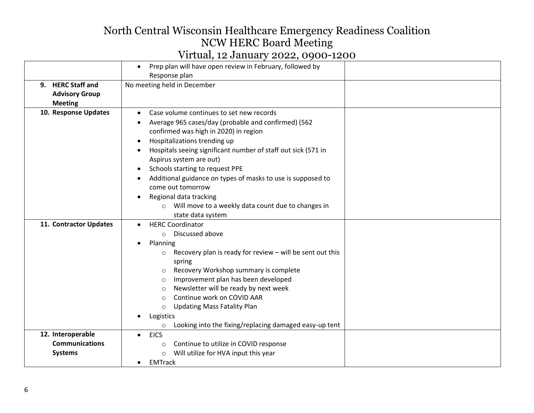|                                                              | Prep plan will have open review in February, followed by<br>$\bullet$<br>Response plan                                                                                                                                                                                                                                                                                                                                                                                                                      |  |
|--------------------------------------------------------------|-------------------------------------------------------------------------------------------------------------------------------------------------------------------------------------------------------------------------------------------------------------------------------------------------------------------------------------------------------------------------------------------------------------------------------------------------------------------------------------------------------------|--|
| 9. HERC Staff and<br><b>Advisory Group</b><br><b>Meeting</b> | No meeting held in December                                                                                                                                                                                                                                                                                                                                                                                                                                                                                 |  |
| 10. Response Updates                                         | Case volume continues to set new records<br>Average 965 cases/day (probable and confirmed) (562<br>confirmed was high in 2020) in region<br>Hospitalizations trending up<br>Hospitals seeing significant number of staff out sick (571 in<br>Aspirus system are out)<br>Schools starting to request PPE<br>Additional guidance on types of masks to use is supposed to<br>come out tomorrow<br>Regional data tracking<br>Will move to a weekly data count due to changes in<br>$\circ$<br>state data system |  |
| 11. Contractor Updates                                       | <b>HERC Coordinator</b><br>Discussed above<br>Planning<br>Recovery plan is ready for review - will be sent out this<br>$\circ$<br>spring<br>Recovery Workshop summary is complete<br>$\circ$<br>Improvement plan has been developed<br>$\circ$<br>Newsletter will be ready by next week<br>$\circ$<br>Continue work on COVID AAR<br>$\bigcirc$<br><b>Updating Mass Fatality Plan</b><br>$\circ$<br>Logistics<br>Looking into the fixing/replacing damaged easy-up tent<br>$\circ$                           |  |
| 12. Interoperable<br><b>Communications</b><br><b>Systems</b> | <b>EICS</b><br>Continue to utilize in COVID response<br>$\circ$<br>Will utilize for HVA input this year<br>$\circ$<br><b>EMTrack</b><br>$\bullet$                                                                                                                                                                                                                                                                                                                                                           |  |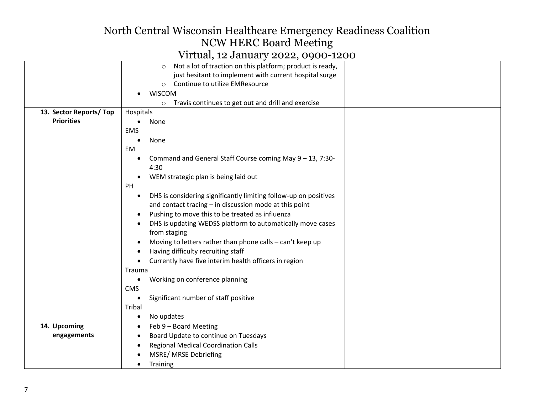## Virtual, 12 January 2022, 0900-1200

|                        | Not a lot of traction on this platform; product is ready,<br>$\circ$          |  |
|------------------------|-------------------------------------------------------------------------------|--|
|                        | just hesitant to implement with current hospital surge                        |  |
|                        | Continue to utilize EMResource<br>$\circ$                                     |  |
|                        | <b>WISCOM</b>                                                                 |  |
|                        | Travis continues to get out and drill and exercise<br>$\circ$                 |  |
| 13. Sector Reports/Top | Hospitals                                                                     |  |
| <b>Priorities</b>      | None<br>$\bullet$                                                             |  |
|                        | <b>EMS</b>                                                                    |  |
|                        | None                                                                          |  |
|                        | EM                                                                            |  |
|                        | Command and General Staff Course coming May 9 - 13, 7:30-<br>4:30             |  |
|                        | WEM strategic plan is being laid out                                          |  |
|                        | PH                                                                            |  |
|                        | DHS is considering significantly limiting follow-up on positives<br>$\bullet$ |  |
|                        | and contact tracing - in discussion mode at this point                        |  |
|                        | Pushing to move this to be treated as influenza                               |  |
|                        | DHS is updating WEDSS platform to automatically move cases                    |  |
|                        | from staging                                                                  |  |
|                        | Moving to letters rather than phone calls - can't keep up                     |  |
|                        | Having difficulty recruiting staff                                            |  |
|                        | Currently have five interim health officers in region                         |  |
|                        | Trauma                                                                        |  |
|                        | Working on conference planning<br>$\bullet$                                   |  |
|                        | <b>CMS</b>                                                                    |  |
|                        | Significant number of staff positive                                          |  |
|                        | Tribal                                                                        |  |
|                        | No updates<br>$\bullet$                                                       |  |
| 14. Upcoming           | Feb 9 - Board Meeting<br>$\bullet$                                            |  |
| engagements            | Board Update to continue on Tuesdays                                          |  |
|                        | <b>Regional Medical Coordination Calls</b>                                    |  |
|                        | MSRE/ MRSE Debriefing                                                         |  |
|                        | Training                                                                      |  |